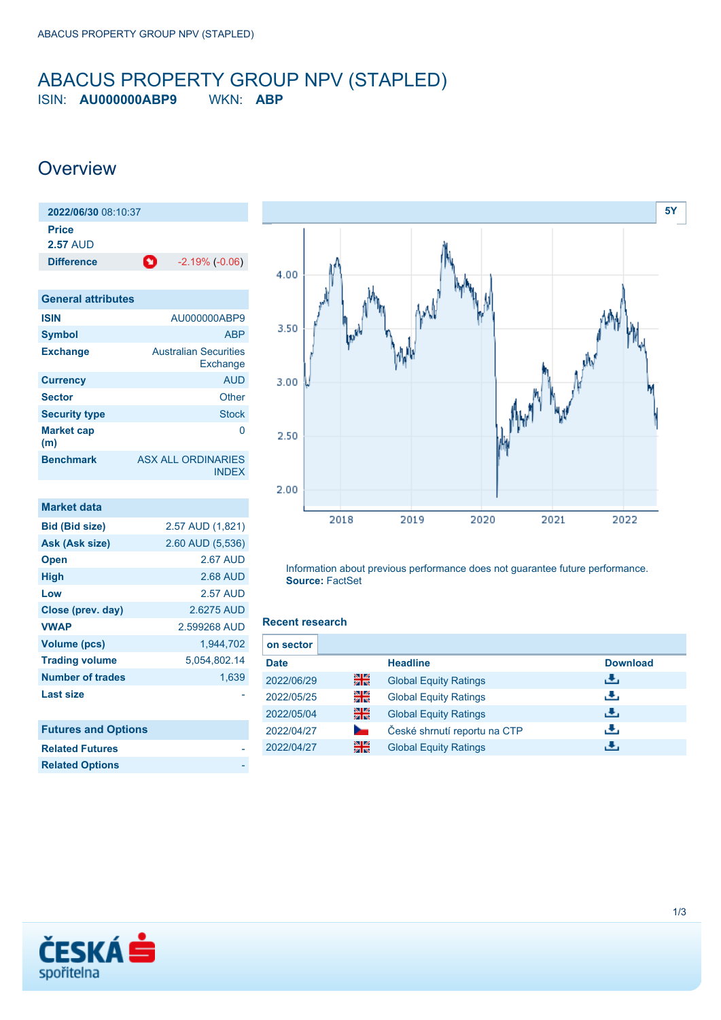### <span id="page-0-0"></span>ABACUS PROPERTY GROUP NPV (STAPLED) ISIN: **AU000000ABP9** WKN: **ABP**

## **Overview**

| 2022/06/30 08:10:37             |                                           |  |  |
|---------------------------------|-------------------------------------------|--|--|
| <b>Price</b><br><b>2.57 AUD</b> |                                           |  |  |
| <b>Difference</b>               | o<br>$-2.19\%$ $(-0.06)$                  |  |  |
|                                 |                                           |  |  |
| <b>General attributes</b>       |                                           |  |  |
| <b>ISIN</b>                     | AU000000ABP9                              |  |  |
| Symbol                          | <b>ABP</b>                                |  |  |
| <b>Exchange</b>                 | <b>Australian Securities</b><br>Exchange  |  |  |
| <b>Currency</b>                 | <b>AUD</b>                                |  |  |
| <b>Sector</b>                   | Other                                     |  |  |
| <b>Security type</b>            | <b>Stock</b>                              |  |  |
| <b>Market cap</b><br>(m)        | O                                         |  |  |
| <b>Benchmark</b>                | <b>ASX ALL ORDINARIES</b><br><b>INDEX</b> |  |  |

| <b>Market data</b>         |                  |
|----------------------------|------------------|
| <b>Bid (Bid size)</b>      | 2.57 AUD (1,821) |
| Ask (Ask size)             | 2.60 AUD (5,536) |
| <b>Open</b>                | <b>2.67 AUD</b>  |
| <b>High</b>                | 2.68 AUD         |
| Low                        | <b>2.57 AUD</b>  |
| Close (prev. day)          | 2.6275 AUD       |
| <b>VWAP</b>                | 2.599268 AUD     |
| <b>Volume (pcs)</b>        | 1.944.702        |
| <b>Trading volume</b>      | 5,054,802.14     |
| <b>Number of trades</b>    | 1,639            |
| <b>Last size</b>           |                  |
|                            |                  |
| <b>Futures and Options</b> |                  |



Information about previous performance does not guarantee future performance. **Source:** FactSet

#### **Recent research**

| on sector   |    |                              |                 |
|-------------|----|------------------------------|-----------------|
| <b>Date</b> |    | <b>Headline</b>              | <b>Download</b> |
| 2022/06/29  | 을중 | <b>Global Equity Ratings</b> | æ.              |
| 2022/05/25  | 읡  | <b>Global Equity Ratings</b> | رنان            |
| 2022/05/04  | 을중 | <b>Global Equity Ratings</b> | رالى            |
| 2022/04/27  |    | České shrnutí reportu na CTP | æ,              |
| 2022/04/27  | 을중 | <b>Global Equity Ratings</b> | . Ф.            |



**Related Futures Related Options**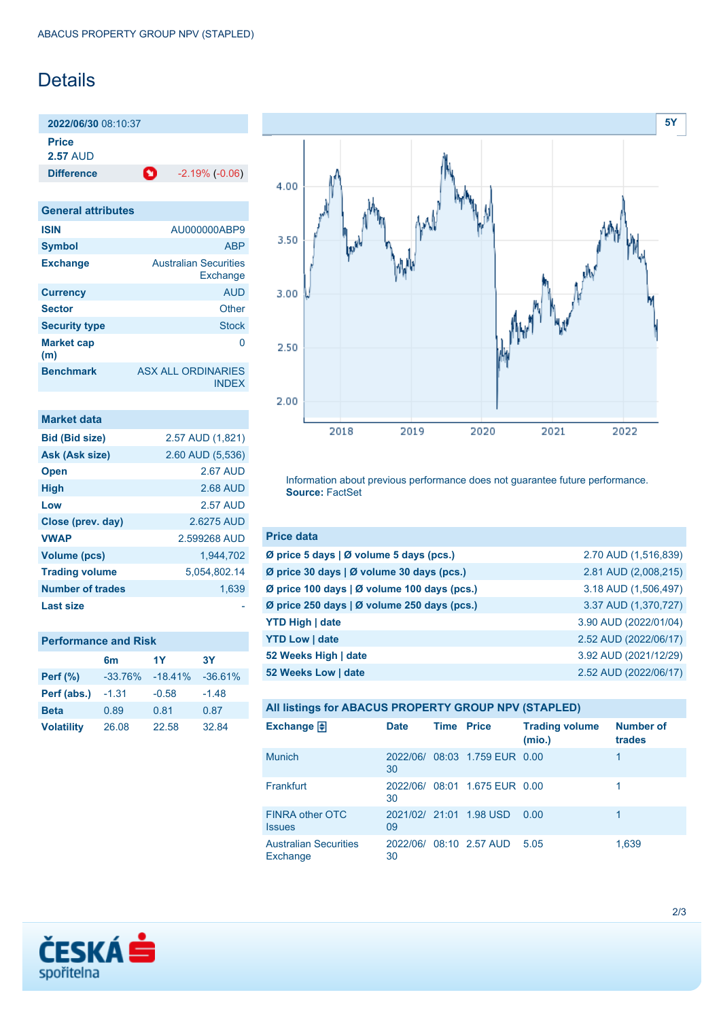## **Details**

**2022/06/30** 08:10:37 **Price**

**2.57** AUD

**Difference 1** -2.19% (-0.06)

| <b>General attributes</b> |                                          |
|---------------------------|------------------------------------------|
| <b>ISIN</b>               | AU000000ABP9                             |
| <b>Symbol</b>             | <b>ABP</b>                               |
| <b>Exchange</b>           | <b>Australian Securities</b><br>Exchange |
| <b>Currency</b>           | <b>AUD</b>                               |
| <b>Sector</b>             | Other                                    |
| <b>Security type</b>      | <b>Stock</b>                             |
| <b>Market cap</b><br>(m)  | O                                        |
| <b>Benchmark</b>          | ASX ALL ORDINARIES<br><b>INDEX</b>       |

| Market data             |                  |
|-------------------------|------------------|
| <b>Bid (Bid size)</b>   | 2.57 AUD (1,821) |
| Ask (Ask size)          | 2.60 AUD (5,536) |
| <b>Open</b>             | 2.67 AUD         |
| <b>High</b>             | 2.68 AUD         |
| Low                     | 2.57 AUD         |
| Close (prev. day)       | 2.6275 AUD       |
| <b>VWAP</b>             | 2.599268 AUD     |
| <b>Volume (pcs)</b>     | 1.944.702        |
| <b>Trading volume</b>   | 5.054.802.14     |
| <b>Number of trades</b> | 1,639            |
| Last size               |                  |

| <b>Performance and Risk</b> |           |           |           |  |
|-----------------------------|-----------|-----------|-----------|--|
|                             | 6m        | 1Y        | 3Υ        |  |
| <b>Perf</b> (%)             | $-33.76%$ | $-18.41%$ | $-36.61%$ |  |
| Perf (abs.)                 | $-1.31$   | $-0.58$   | $-1.48$   |  |
| <b>Beta</b>                 | 0.89      | 0.81      | 0.87      |  |
| <b>Volatility</b>           | 26.08     | 22.58     | 32.84     |  |



Information about previous performance does not guarantee future performance. **Source:** FactSet

| <b>Price data</b>                                         |                       |
|-----------------------------------------------------------|-----------------------|
| $\emptyset$ price 5 days $\emptyset$ volume 5 days (pcs.) | 2.70 AUD (1,516,839)  |
| Ø price 30 days   Ø volume 30 days (pcs.)                 | 2.81 AUD (2,008,215)  |
| Ø price 100 days   Ø volume 100 days (pcs.)               | 3.18 AUD (1,506,497)  |
| Ø price 250 days   Ø volume 250 days (pcs.)               | 3.37 AUD (1,370,727)  |
| <b>YTD High   date</b>                                    | 3.90 AUD (2022/01/04) |
| <b>YTD Low   date</b>                                     | 2.52 AUD (2022/06/17) |
| 52 Weeks High   date                                      | 3.92 AUD (2021/12/29) |
| 52 Weeks Low   date                                       | 2.52 AUD (2022/06/17) |

| All listings for ABACUS PROPERTY GROUP NPV (STAPLED) |                |                   |                               |                                 |                            |
|------------------------------------------------------|----------------|-------------------|-------------------------------|---------------------------------|----------------------------|
| Exchange $\bigoplus$                                 | <b>Date</b>    | <b>Time Price</b> |                               | <b>Trading volume</b><br>(mio.) | <b>Number of</b><br>trades |
| <b>Munich</b>                                        | 2022/06/<br>30 |                   | 08:03 1.759 EUR 0.00          |                                 | 1                          |
| Frankfurt                                            | 30             |                   | 2022/06/ 08:01 1.675 EUR 0.00 |                                 |                            |
| <b>FINRA other OTC</b><br><b>Issues</b>              | 09             |                   | 2021/02/ 21:01 1.98 USD       | 0.00                            |                            |
| <b>Australian Securities</b><br>Exchange             | 30             |                   | 2022/06/ 08:10 2.57 AUD       | 5.05                            | 1,639                      |